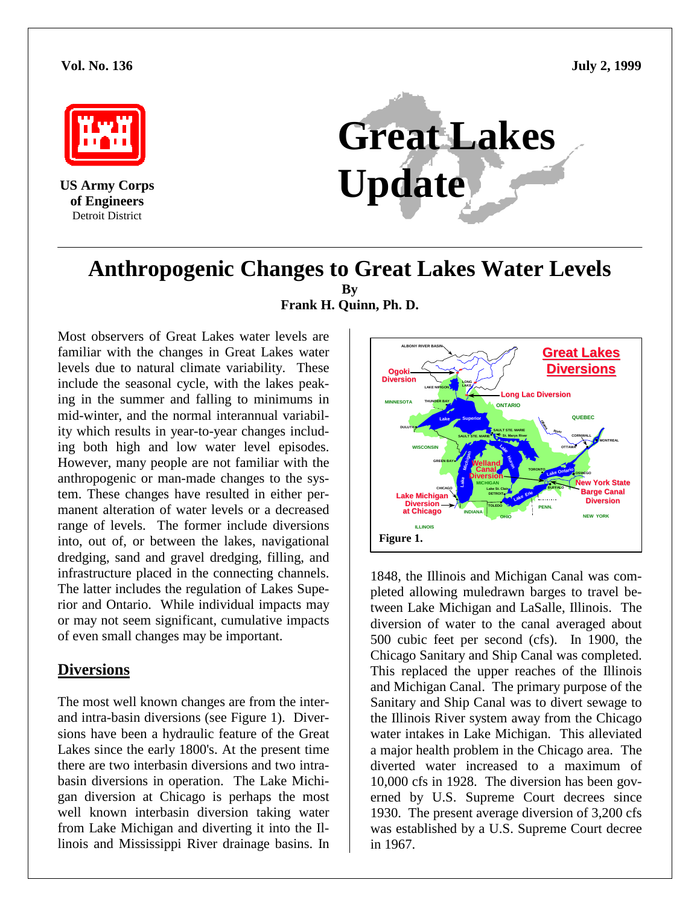**Vol. No. 136 July 2, 1999**



**US Army Corps** Detroit District



# **Anthropogenic Changes to Great Lakes Water Levels By Frank H. Quinn, Ph. D.**

Most observers of Great Lakes water levels are familiar with the changes in Great Lakes water levels due to natural climate variability. These include the seasonal cycle, with the lakes peaking in the summer and falling to minimums in mid-winter, and the normal interannual variability which results in year-to-year changes including both high and low water level episodes. However, many people are not familiar with the anthropogenic or man-made changes to the system. These changes have resulted in either permanent alteration of water levels or a decreased range of levels. The former include diversions into, out of, or between the lakes, navigational dredging, sand and gravel dredging, filling, and infrastructure placed in the connecting channels. The latter includes the regulation of Lakes Superior and Ontario. While individual impacts may or may not seem significant, cumulative impacts of even small changes may be important.

### **Diversions**

The most well known changes are from the interand intra-basin diversions (see Figure 1). Diversions have been a hydraulic feature of the Great Lakes since the early 1800's. At the present time there are two interbasin diversions and two intrabasin diversions in operation. The Lake Michigan diversion at Chicago is perhaps the most well known interbasin diversion taking water from Lake Michigan and diverting it into the Illinois and Mississippi River drainage basins. In



1848, the Illinois and Michigan Canal was completed allowing muledrawn barges to travel between Lake Michigan and LaSalle, Illinois. The diversion of water to the canal averaged about 500 cubic feet per second (cfs). In 1900, the Chicago Sanitary and Ship Canal was completed. This replaced the upper reaches of the Illinois and Michigan Canal. The primary purpose of the Sanitary and Ship Canal was to divert sewage to the Illinois River system away from the Chicago water intakes in Lake Michigan. This alleviated a major health problem in the Chicago area. The diverted water increased to a maximum of 10,000 cfs in 1928. The diversion has been governed by U.S. Supreme Court decrees since 1930. The present average diversion of 3,200 cfs was established by a U.S. Supreme Court decree in 1967.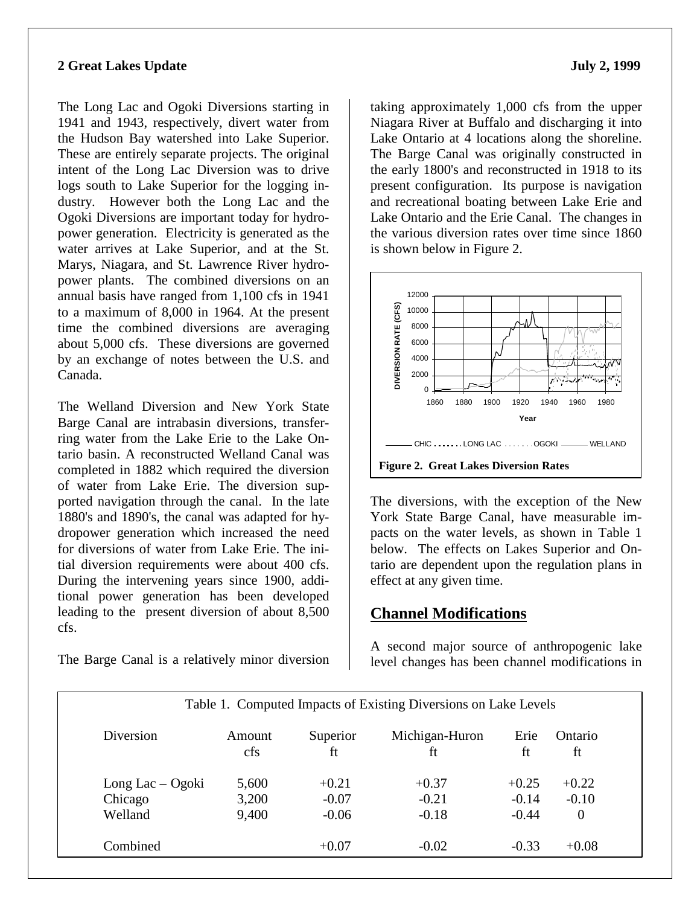#### **2 Great Lakes Update** July 2, 1999

The Long Lac and Ogoki Diversions starting in 1941 and 1943, respectively, divert water from the Hudson Bay watershed into Lake Superior. These are entirely separate projects. The original intent of the Long Lac Diversion was to drive logs south to Lake Superior for the logging industry. However both the Long Lac and the Ogoki Diversions are important today for hydropower generation. Electricity is generated as the water arrives at Lake Superior, and at the St. Marys, Niagara, and St. Lawrence River hydropower plants. The combined diversions on an annual basis have ranged from 1,100 cfs in 1941 to a maximum of 8,000 in 1964. At the present time the combined diversions are averaging about 5,000 cfs. These diversions are governed by an exchange of notes between the U.S. and Canada.

The Welland Diversion and New York State Barge Canal are intrabasin diversions, transferring water from the Lake Erie to the Lake Ontario basin. A reconstructed Welland Canal was completed in 1882 which required the diversion of water from Lake Erie. The diversion supported navigation through the canal. In the late 1880's and 1890's, the canal was adapted for hydropower generation which increased the need for diversions of water from Lake Erie. The initial diversion requirements were about 400 cfs. During the intervening years since 1900, additional power generation has been developed leading to the present diversion of about 8,500 cfs.

The Barge Canal is a relatively minor diversion

taking approximately 1,000 cfs from the upper Niagara River at Buffalo and discharging it into Lake Ontario at 4 locations along the shoreline. The Barge Canal was originally constructed in the early 1800's and reconstructed in 1918 to its present configuration. Its purpose is navigation and recreational boating between Lake Erie and Lake Ontario and the Erie Canal. The changes in the various diversion rates over time since 1860 is shown below in Figure 2.



The diversions, with the exception of the New York State Barge Canal, have measurable impacts on the water levels, as shown in Table 1 below. The effects on Lakes Superior and Ontario are dependent upon the regulation plans in effect at any given time.

# **Channel Modifications**

A second major source of anthropogenic lake level changes has been channel modifications in

| Diversion          | Amount<br>cfs | Superior<br>ft | Michigan-Huron<br>ft | Erie<br>ft | Ontario<br>ft    |
|--------------------|---------------|----------------|----------------------|------------|------------------|
| Long Lac $-$ Ogoki | 5,600         | $+0.21$        | $+0.37$              | $+0.25$    | $+0.22$          |
| Chicago            | 3,200         | $-0.07$        | $-0.21$              | $-0.14$    | $-0.10$          |
| Welland            | 9,400         | $-0.06$        | $-0.18$              | $-0.44$    | $\boldsymbol{0}$ |

Computed Impacts of Existing Diversions on Lake Levels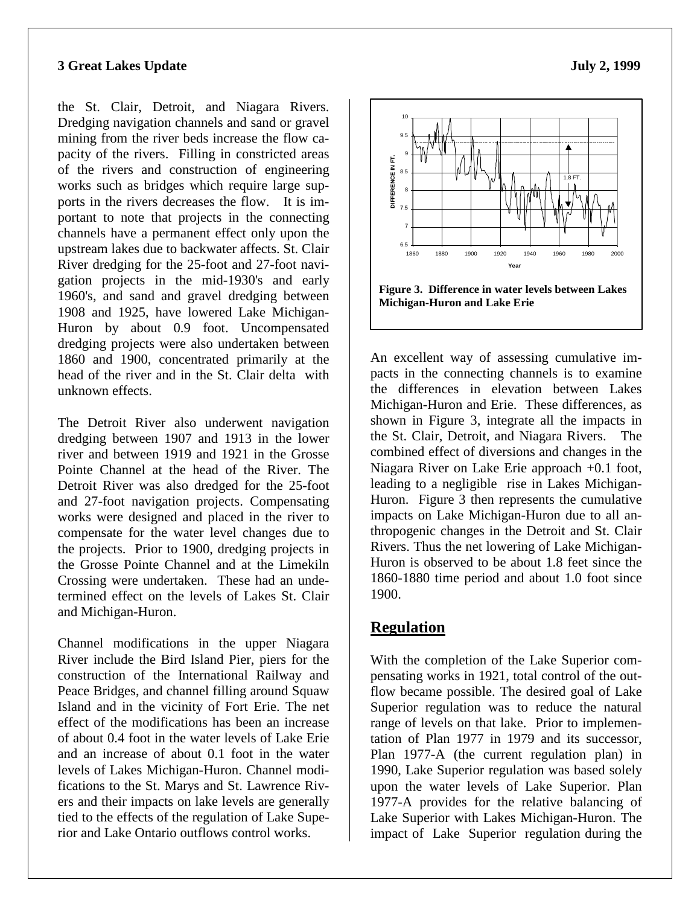#### **3 Great Lakes Update** July 2, 1999

the St. Clair, Detroit, and Niagara Rivers. Dredging navigation channels and sand or gravel mining from the river beds increase the flow capacity of the rivers. Filling in constricted areas of the rivers and construction of engineering works such as bridges which require large supports in the rivers decreases the flow. It is important to note that projects in the connecting channels have a permanent effect only upon the upstream lakes due to backwater affects. St. Clair River dredging for the 25-foot and 27-foot navigation projects in the mid-1930's and early 1960's, and sand and gravel dredging between 1908 and 1925, have lowered Lake Michigan-Huron by about 0.9 foot. Uncompensated dredging projects were also undertaken between 1860 and 1900, concentrated primarily at the head of the river and in the St. Clair delta with unknown effects.

The Detroit River also underwent navigation dredging between 1907 and 1913 in the lower river and between 1919 and 1921 in the Grosse Pointe Channel at the head of the River. The Detroit River was also dredged for the 25-foot and 27-foot navigation projects. Compensating works were designed and placed in the river to compensate for the water level changes due to the projects. Prior to 1900, dredging projects in the Grosse Pointe Channel and at the Limekiln Crossing were undertaken. These had an undetermined effect on the levels of Lakes St. Clair and Michigan-Huron.

Channel modifications in the upper Niagara River include the Bird Island Pier, piers for the construction of the International Railway and Peace Bridges, and channel filling around Squaw Island and in the vicinity of Fort Erie. The net effect of the modifications has been an increase of about 0.4 foot in the water levels of Lake Erie and an increase of about 0.1 foot in the water levels of Lakes Michigan-Huron. Channel modifications to the St. Marys and St. Lawrence Rivers and their impacts on lake levels are generally tied to the effects of the regulation of Lake Superior and Lake Ontario outflows control works.



An excellent way of assessing cumulative impacts in the connecting channels is to examine the differences in elevation between Lakes Michigan-Huron and Erie. These differences, as shown in Figure 3, integrate all the impacts in the St. Clair, Detroit, and Niagara Rivers. The combined effect of diversions and changes in the Niagara River on Lake Erie approach +0.1 foot, leading to a negligible rise in Lakes Michigan-Huron. Figure 3 then represents the cumulative impacts on Lake Michigan-Huron due to all anthropogenic changes in the Detroit and St. Clair Rivers. Thus the net lowering of Lake Michigan-Huron is observed to be about 1.8 feet since the 1860-1880 time period and about 1.0 foot since 1900.

### **Regulation**

With the completion of the Lake Superior compensating works in 1921, total control of the outflow became possible. The desired goal of Lake Superior regulation was to reduce the natural range of levels on that lake. Prior to implementation of Plan 1977 in 1979 and its successor, Plan 1977-A (the current regulation plan) in 1990, Lake Superior regulation was based solely upon the water levels of Lake Superior. Plan 1977-A provides for the relative balancing of Lake Superior with Lakes Michigan-Huron. The impact of Lake Superior regulation during the